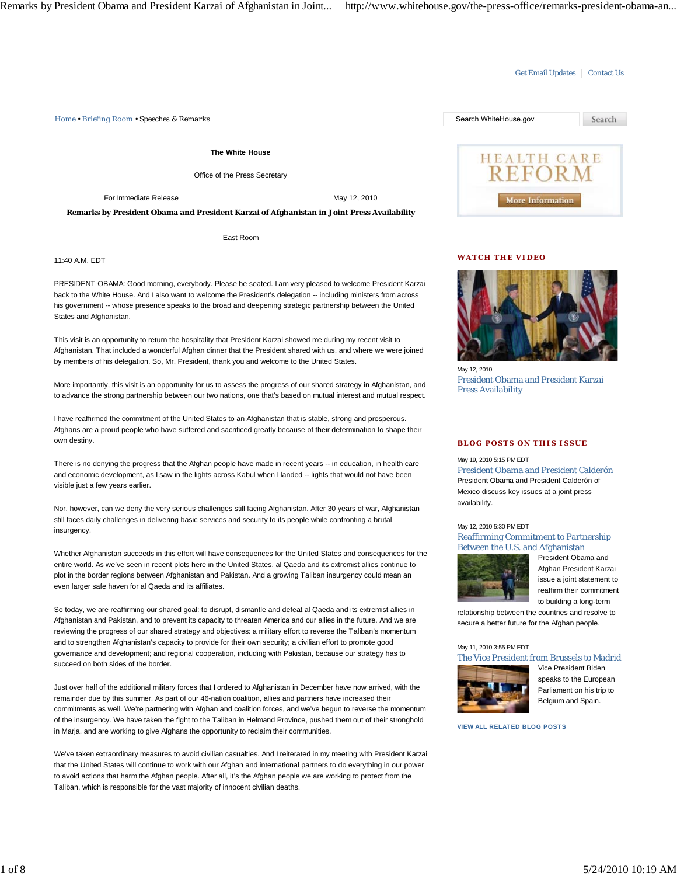# Get Email Updates | Contact Us

*Home • Briefing Room • Speeches & Remarks* Search WhiteHouse.gov

**The White House**

Office of the Press Secretary

For Immediate Release May 12, 2010

**Remarks by President Obama and President Karzai of Afghanistan in Joint Press Availability**

East Room

# 11:40 A.M. EDT

PRESIDENT OBAMA: Good morning, everybody. Please be seated. I am very pleased to welcome President Karzai back to the White House. And I also want to welcome the President's delegation -- including ministers from across his government -- whose presence speaks to the broad and deepening strategic partnership between the United States and Afghanistan.

This visit is an opportunity to return the hospitality that President Karzai showed me during my recent visit to Afghanistan. That included a wonderful Afghan dinner that the President shared with us, and where we were joined by members of his delegation. So, Mr. President, thank you and welcome to the United States.

More importantly, this visit is an opportunity for us to assess the progress of our shared strategy in Afghanistan, and to advance the strong partnership between our two nations, one that's based on mutual interest and mutual respect.

I have reaffirmed the commitment of the United States to an Afghanistan that is stable, strong and prosperous. Afghans are a proud people who have suffered and sacrificed greatly because of their determination to shape their own destiny.

There is no denying the progress that the Afghan people have made in recent years -- in education, in health care and economic development, as I saw in the lights across Kabul when I landed -- lights that would not have been visible just a few years earlier.

Nor, however, can we deny the very serious challenges still facing Afghanistan. After 30 years of war, Afghanistan still faces daily challenges in delivering basic services and security to its people while confronting a brutal insurgency.

Whether Afghanistan succeeds in this effort will have consequences for the United States and consequences for the entire world. As we've seen in recent plots here in the United States, al Qaeda and its extremist allies continue to plot in the border regions between Afghanistan and Pakistan. And a growing Taliban insurgency could mean an even larger safe haven for al Qaeda and its affiliates.

So today, we are reaffirming our shared goal: to disrupt, dismantle and defeat al Qaeda and its extremist allies in Afghanistan and Pakistan, and to prevent its capacity to threaten America and our allies in the future. And we are reviewing the progress of our shared strategy and objectives: a military effort to reverse the Taliban's momentum and to strengthen Afghanistan's capacity to provide for their own security; a civilian effort to promote good governance and development; and regional cooperation, including with Pakistan, because our strategy has to succeed on both sides of the border.

Just over half of the additional military forces that I ordered to Afghanistan in December have now arrived, with the remainder due by this summer. As part of our 46-nation coalition, allies and partners have increased their commitments as well. We're partnering with Afghan and coalition forces, and we've begun to reverse the momentum of the insurgency. We have taken the fight to the Taliban in Helmand Province, pushed them out of their stronghold in Marja, and are working to give Afghans the opportunity to reclaim their communities.

We've taken extraordinary measures to avoid civilian casualties. And I reiterated in my meeting with President Karzai that the United States will continue to work with our Afghan and international partners to do everything in our power to avoid actions that harm the Afghan people. After all, it's the Afghan people we are working to protect from the Taliban, which is responsible for the vast majority of innocent civilian deaths.



# **WATCH THE VIDEO**



May 12, 2010 President Obama and President Karzai Press Availability

### **BLOG POSTS ON THIS ISSUE**

#### May 19, 2010 5:15 PM EDT

President Obama and President Calderón President Obama and President Calderón of Mexico discuss key issues at a joint press availability.

### May 12, 2010 5:30 PM EDT

Reaffirming Commitment to Partnership Between the U.S. and Afghanistan



President Obama and Afghan President Karzai issue a joint statement to reaffirm their commitment to building a long-term

relationship between the countries and resolve to secure a better future for the Afghan people.

#### May 11, 2010 3:55 PM EDT



Vice President Biden speaks to the European Parliament on his trip to

Belgium and Spain.

**VIEW ALL RELATED BLOG POSTS**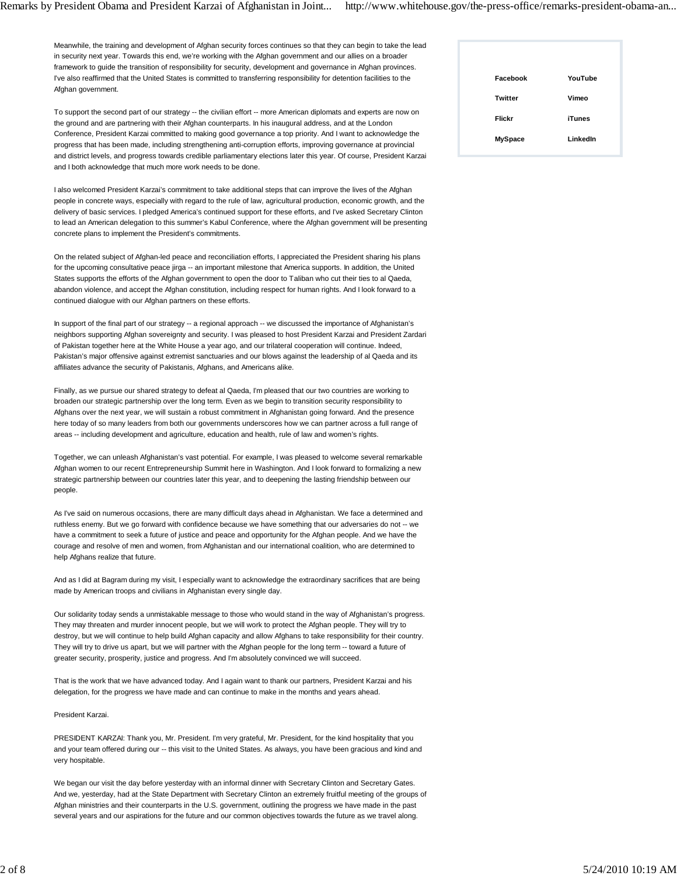Meanwhile, the training and development of Afghan security forces continues so that they can begin to take the lead in security next year. Towards this end, we're working with the Afghan government and our allies on a broader framework to guide the transition of responsibility for security, development and governance in Afghan provinces. I've also reaffirmed that the United States is committed to transferring responsibility for detention facilities to the Afghan government.

To support the second part of our strategy -- the civilian effort -- more American diplomats and experts are now on the ground and are partnering with their Afghan counterparts. In his inaugural address, and at the London Conference, President Karzai committed to making good governance a top priority. And I want to acknowledge the progress that has been made, including strengthening anti-corruption efforts, improving governance at provincial and district levels, and progress towards credible parliamentary elections later this year. Of course, President Karzai and I both acknowledge that much more work needs to be done.

I also welcomed President Karzai's commitment to take additional steps that can improve the lives of the Afghan people in concrete ways, especially with regard to the rule of law, agricultural production, economic growth, and the delivery of basic services. I pledged America's continued support for these efforts, and I've asked Secretary Clinton to lead an American delegation to this summer's Kabul Conference, where the Afghan government will be presenting concrete plans to implement the President's commitments.

On the related subject of Afghan-led peace and reconciliation efforts, I appreciated the President sharing his plans for the upcoming consultative peace jirga -- an important milestone that America supports. In addition, the United States supports the efforts of the Afghan government to open the door to Taliban who cut their ties to al Qaeda, abandon violence, and accept the Afghan constitution, including respect for human rights. And I look forward to a continued dialogue with our Afghan partners on these efforts.

In support of the final part of our strategy -- a regional approach -- we discussed the importance of Afghanistan's neighbors supporting Afghan sovereignty and security. I was pleased to host President Karzai and President Zardari of Pakistan together here at the White House a year ago, and our trilateral cooperation will continue. Indeed, Pakistan's major offensive against extremist sanctuaries and our blows against the leadership of al Qaeda and its affiliates advance the security of Pakistanis, Afghans, and Americans alike.

Finally, as we pursue our shared strategy to defeat al Qaeda, I'm pleased that our two countries are working to broaden our strategic partnership over the long term. Even as we begin to transition security responsibility to Afghans over the next year, we will sustain a robust commitment in Afghanistan going forward. And the presence here today of so many leaders from both our governments underscores how we can partner across a full range of areas -- including development and agriculture, education and health, rule of law and women's rights.

Together, we can unleash Afghanistan's vast potential. For example, I was pleased to welcome several remarkable Afghan women to our recent Entrepreneurship Summit here in Washington. And I look forward to formalizing a new strategic partnership between our countries later this year, and to deepening the lasting friendship between our people.

As I've said on numerous occasions, there are many difficult days ahead in Afghanistan. We face a determined and ruthless enemy. But we go forward with confidence because we have something that our adversaries do not -- we have a commitment to seek a future of justice and peace and opportunity for the Afghan people. And we have the courage and resolve of men and women, from Afghanistan and our international coalition, who are determined to help Afghans realize that future.

And as I did at Bagram during my visit, I especially want to acknowledge the extraordinary sacrifices that are being made by American troops and civilians in Afghanistan every single day.

Our solidarity today sends a unmistakable message to those who would stand in the way of Afghanistan's progress. They may threaten and murder innocent people, but we will work to protect the Afghan people. They will try to destroy, but we will continue to help build Afghan capacity and allow Afghans to take responsibility for their country. They will try to drive us apart, but we will partner with the Afghan people for the long term -- toward a future of greater security, prosperity, justice and progress. And I'm absolutely convinced we will succeed.

That is the work that we have advanced today. And I again want to thank our partners, President Karzai and his delegation, for the progress we have made and can continue to make in the months and years ahead.

President Karzai.

PRESIDENT KARZAI: Thank you, Mr. President. I'm very grateful, Mr. President, for the kind hospitality that you and your team offered during our -- this visit to the United States. As always, you have been gracious and kind and very hospitable.

We began our visit the day before yesterday with an informal dinner with Secretary Clinton and Secretary Gates. And we, yesterday, had at the State Department with Secretary Clinton an extremely fruitful meeting of the groups of Afghan ministries and their counterparts in the U.S. government, outlining the progress we have made in the past several years and our aspirations for the future and our common objectives towards the future as we travel along.

| Facebook       | YouTube  |
|----------------|----------|
| <b>Twitter</b> | Vimeo    |
| Flickr         | iTunes   |
| <b>MySpace</b> | LinkedIn |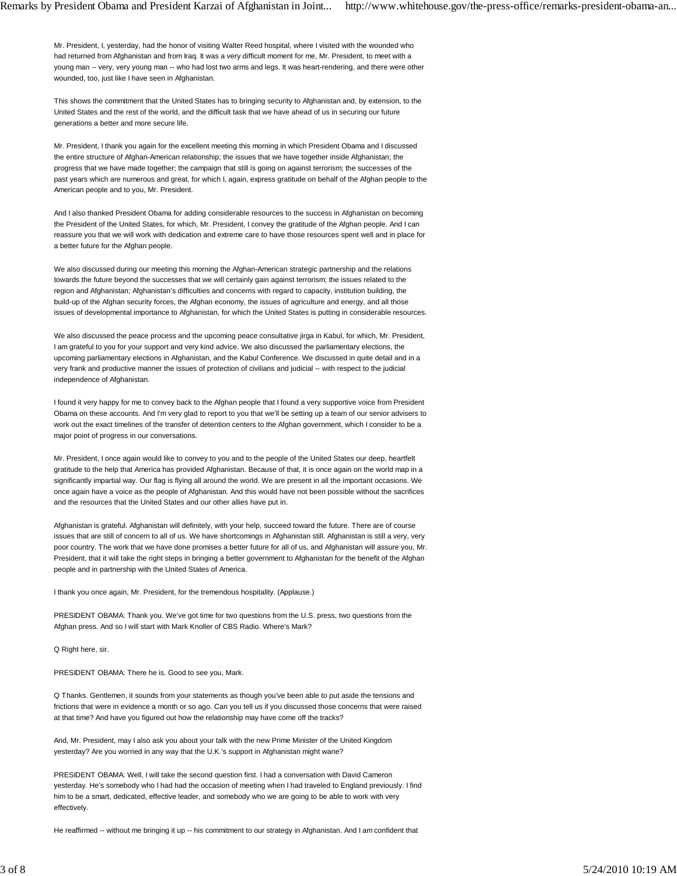Mr. President, I, yesterday, had the honor of visiting Walter Reed hospital, where I visited with the wounded who had returned from Afghanistan and from Iraq. It was a very difficult moment for me. Mr. President, to meet with a young man -- very, very young man -- who had lost two arms and legs. It was heart-rendering, and there were other wounded, too, just like I have seen in Afghanistan.

This shows the commitment that the United States has to bringing security to Afghanistan and, by extension, to the United States and the rest of the world, and the difficult task that we have ahead of us in securing our future generations a better and more secure life.

Mr. President, I thank you again for the excellent meeting this morning in which President Obama and I discussed the entire structure of Afghan-American relationship; the issues that we have together inside Afghanistan; the progress that we have made together; the campaign that still is going on against terrorism; the successes of the past years which are numerous and great, for which I, again, express gratitude on behalf of the Afghan people to the American people and to you, Mr. President.

And I also thanked President Obama for adding considerable resources to the success in Afghanistan on becoming the President of the United States, for which, Mr. President, I convey the gratitude of the Afghan people. And I can reassure you that we will work with dedication and extreme care to have those resources spent well and in place for a better future for the Afghan people.

We also discussed during our meeting this morning the Afghan-American strategic partnership and the relations towards the future beyond the successes that we will certainly gain against terrorism; the issues related to the region and Afghanistan; Afghanistan's difficulties and concerns with regard to capacity, institution building, the build-up of the Afghan security forces, the Afghan economy, the issues of agriculture and energy, and all those issues of developmental importance to Afghanistan, for which the United States is putting in considerable resources.

We also discussed the peace process and the upcoming peace consultative jirga in Kabul, for which, Mr. President, I am grateful to you for your support and very kind advice. We also discussed the parliamentary elections, the upcoming parliamentary elections in Afghanistan, and the Kabul Conference. We discussed in quite detail and in a very frank and productive manner the issues of protection of civilians and judicial -- with respect to the judicial independence of Afghanistan.

I found it very happy for me to convey back to the Afghan people that I found a very supportive voice from President Obama on these accounts. And I'm very glad to report to you that we'll be setting up a team of our senior advisers to work out the exact timelines of the transfer of detention centers to the Afghan government, which I consider to be a major point of progress in our conversations.

Mr. President, I once again would like to convey to you and to the people of the United States our deep, heartfelt gratitude to the help that America has provided Afghanistan. Because of that, it is once again on the world map in a significantly impartial way. Our flag is flying all around the world. We are present in all the important occasions. We once again have a voice as the people of Afghanistan. And this would have not been possible without the sacrifices and the resources that the United States and our other allies have put in.

Afghanistan is grateful. Afghanistan will definitely, with your help, succeed toward the future. There are of course issues that are still of concern to all of us. We have shortcomings in Afghanistan still. Afghanistan is still a very, very poor country. The work that we have done promises a better future for all of us, and Afghanistan will assure you, Mr. President, that it will take the right steps in bringing a better government to Afghanistan for the benefit of the Afghan people and in partnership with the United States of America.

I thank you once again, Mr. President, for the tremendous hospitality. (Applause.)

PRESIDENT OBAMA: Thank you. We've got time for two questions from the U.S. press, two questions from the Afghan press. And so I will start with Mark Knoller of CBS Radio. Where's Mark?

Q Right here, sir.

PRESIDENT OBAMA: There he is. Good to see you, Mark.

Q Thanks. Gentlemen, it sounds from your statements as though you've been able to put aside the tensions and frictions that were in evidence a month or so ago. Can you tell us if you discussed those concerns that were raised at that time? And have you figured out how the relationship may have come off the tracks?

And, Mr. President, may I also ask you about your talk with the new Prime Minister of the United Kingdom yesterday? Are you worried in any way that the U.K.'s support in Afghanistan might wane?

PRESIDENT OBAMA: Well, I will take the second question first. I had a conversation with David Cameron yesterday. He's somebody who I had had the occasion of meeting when I had traveled to England previously. I find him to be a smart, dedicated, effective leader, and somebody who we are going to be able to work with very effectively.

He reaffirmed -- without me bringing it up -- his commitment to our strategy in Afghanistan. And I am confident that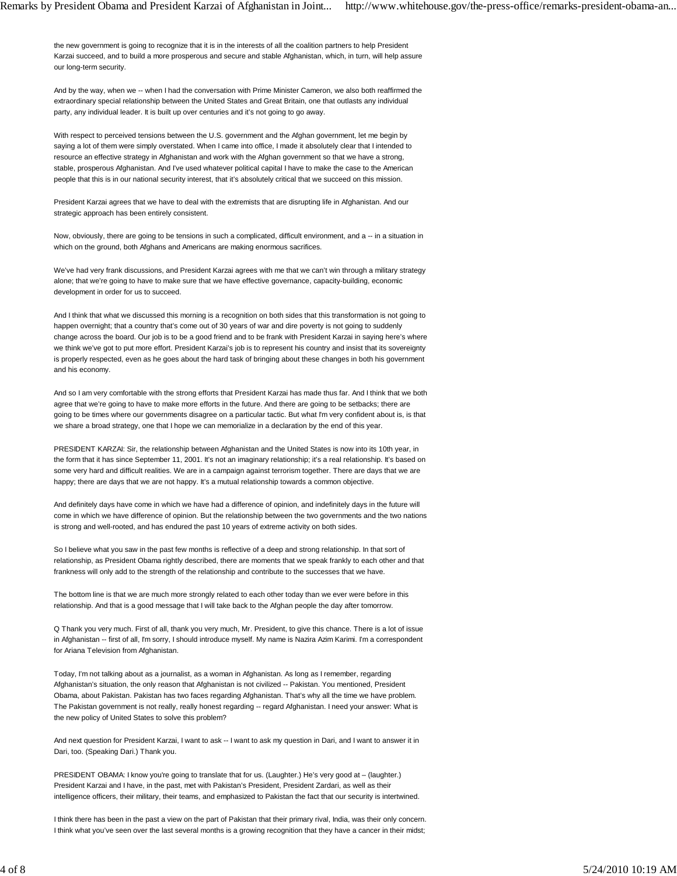the new government is going to recognize that it is in the interests of all the coalition partners to help President Karzai succeed, and to build a more prosperous and secure and stable Afghanistan, which, in turn, will help assure our long-term security.

And by the way, when we -- when I had the conversation with Prime Minister Cameron, we also both reaffirmed the extraordinary special relationship between the United States and Great Britain, one that outlasts any individual party, any individual leader. It is built up over centuries and it's not going to go away.

With respect to perceived tensions between the U.S. government and the Afghan government, let me begin by saying a lot of them were simply overstated. When I came into office, I made it absolutely clear that I intended to resource an effective strategy in Afghanistan and work with the Afghan government so that we have a strong, stable, prosperous Afghanistan. And I've used whatever political capital I have to make the case to the American people that this is in our national security interest, that it's absolutely critical that we succeed on this mission.

President Karzai agrees that we have to deal with the extremists that are disrupting life in Afghanistan. And our strategic approach has been entirely consistent.

Now, obviously, there are going to be tensions in such a complicated, difficult environment, and a -- in a situation in which on the ground, both Afghans and Americans are making enormous sacrifices.

We've had very frank discussions, and President Karzai agrees with me that we can't win through a military strategy alone; that we're going to have to make sure that we have effective governance, capacity-building, economic development in order for us to succeed.

And I think that what we discussed this morning is a recognition on both sides that this transformation is not going to happen overnight; that a country that's come out of 30 years of war and dire poverty is not going to suddenly change across the board. Our job is to be a good friend and to be frank with President Karzai in saying here's where we think we've got to put more effort. President Karzai's job is to represent his country and insist that its sovereignty is properly respected, even as he goes about the hard task of bringing about these changes in both his government and his economy.

And so I am very comfortable with the strong efforts that President Karzai has made thus far. And I think that we both agree that we're going to have to make more efforts in the future. And there are going to be setbacks; there are going to be times where our governments disagree on a particular tactic. But what I'm very confident about is, is that we share a broad strategy, one that I hope we can memorialize in a declaration by the end of this year.

PRESIDENT KARZAI: Sir, the relationship between Afghanistan and the United States is now into its 10th year, in the form that it has since September 11, 2001. It's not an imaginary relationship; it's a real relationship. It's based on some very hard and difficult realities. We are in a campaign against terrorism together. There are days that we are happy; there are days that we are not happy. It's a mutual relationship towards a common objective.

And definitely days have come in which we have had a difference of opinion, and indefinitely days in the future will come in which we have difference of opinion. But the relationship between the two governments and the two nations is strong and well-rooted, and has endured the past 10 years of extreme activity on both sides.

So I believe what you saw in the past few months is reflective of a deep and strong relationship. In that sort of relationship, as President Obama rightly described, there are moments that we speak frankly to each other and that frankness will only add to the strength of the relationship and contribute to the successes that we have.

The bottom line is that we are much more strongly related to each other today than we ever were before in this relationship. And that is a good message that I will take back to the Afghan people the day after tomorrow.

Q Thank you very much. First of all, thank you very much, Mr. President, to give this chance. There is a lot of issue in Afghanistan -- first of all, I'm sorry, I should introduce myself. My name is Nazira Azim Karimi. I'm a correspondent for Ariana Television from Afghanistan.

Today, I'm not talking about as a journalist, as a woman in Afghanistan. As long as I remember, regarding Afghanistan's situation, the only reason that Afghanistan is not civilized -- Pakistan. You mentioned, President Obama, about Pakistan. Pakistan has two faces regarding Afghanistan. That's why all the time we have problem. The Pakistan government is not really, really honest regarding -- regard Afghanistan. I need your answer: What is the new policy of United States to solve this problem?

And next question for President Karzai, I want to ask -- I want to ask my question in Dari, and I want to answer it in Dari, too. (Speaking Dari.) Thank you.

PRESIDENT OBAMA: I know you're going to translate that for us. (Laughter.) He's very good at – (laughter.) President Karzai and I have, in the past, met with Pakistan's President, President Zardari, as well as their intelligence officers, their military, their teams, and emphasized to Pakistan the fact that our security is intertwined.

I think there has been in the past a view on the part of Pakistan that their primary rival, India, was their only concern. I think what you've seen over the last several months is a growing recognition that they have a cancer in their midst: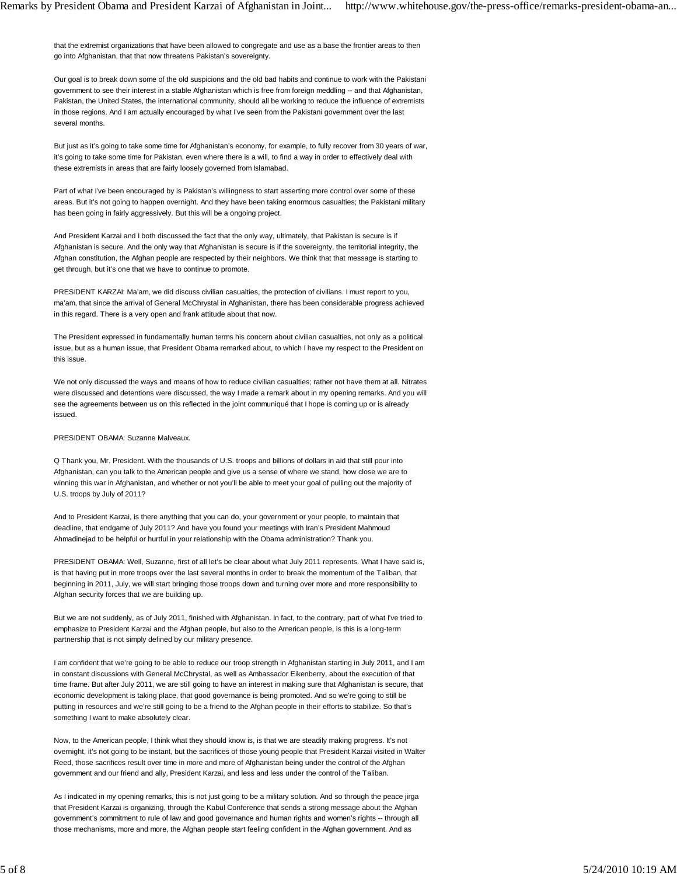that the extremist organizations that have been allowed to congregate and use as a base the frontier areas to then go into Afghanistan, that that now threatens Pakistan's sovereignty.

Our goal is to break down some of the old suspicions and the old bad habits and continue to work with the Pakistani government to see their interest in a stable Afghanistan which is free from foreign meddling -- and that Afghanistan, Pakistan, the United States, the international community, should all be working to reduce the influence of extremists in those regions. And I am actually encouraged by what I've seen from the Pakistani government over the last several months.

But just as it's going to take some time for Afghanistan's economy, for example, to fully recover from 30 years of war, it's going to take some time for Pakistan, even where there is a will, to find a way in order to effectively deal with these extremists in areas that are fairly loosely governed from Islamabad.

Part of what I've been encouraged by is Pakistan's willingness to start asserting more control over some of these areas. But it's not going to happen overnight. And they have been taking enormous casualties; the Pakistani military has been going in fairly aggressively. But this will be a ongoing project.

And President Karzai and I both discussed the fact that the only way, ultimately, that Pakistan is secure is if Afghanistan is secure. And the only way that Afghanistan is secure is if the sovereignty, the territorial integrity, the Afghan constitution, the Afghan people are respected by their neighbors. We think that that message is starting to get through, but it's one that we have to continue to promote.

PRESIDENT KARZAI: Ma'am, we did discuss civilian casualties, the protection of civilians. I must report to you, ma'am, that since the arrival of General McChrystal in Afghanistan, there has been considerable progress achieved in this regard. There is a very open and frank attitude about that now.

The President expressed in fundamentally human terms his concern about civilian casualties, not only as a political issue, but as a human issue, that President Obama remarked about, to which I have my respect to the President on this issue.

We not only discussed the ways and means of how to reduce civilian casualties; rather not have them at all. Nitrates were discussed and detentions were discussed, the way I made a remark about in my opening remarks. And you will see the agreements between us on this reflected in the joint communiqué that I hope is coming up or is already issued.

PRESIDENT OBAMA: Suzanne Malveaux.

Q Thank you, Mr. President. With the thousands of U.S. troops and billions of dollars in aid that still pour into Afghanistan, can you talk to the American people and give us a sense of where we stand, how close we are to winning this war in Afghanistan, and whether or not you'll be able to meet your goal of pulling out the majority of U.S. troops by July of 2011?

And to President Karzai, is there anything that you can do, your government or your people, to maintain that deadline, that endgame of July 2011? And have you found your meetings with Iran's President Mahmoud Ahmadinejad to be helpful or hurtful in your relationship with the Obama administration? Thank you.

PRESIDENT OBAMA: Well, Suzanne, first of all let's be clear about what July 2011 represents. What I have said is, is that having put in more troops over the last several months in order to break the momentum of the Taliban, that beginning in 2011, July, we will start bringing those troops down and turning over more and more responsibility to Afghan security forces that we are building up.

But we are not suddenly, as of July 2011, finished with Afghanistan. In fact, to the contrary, part of what I've tried to emphasize to President Karzai and the Afghan people, but also to the American people, is this is a long-term partnership that is not simply defined by our military presence.

I am confident that we're going to be able to reduce our troop strength in Afghanistan starting in July 2011, and I am in constant discussions with General McChrystal, as well as Ambassador Eikenberry, about the execution of that time frame. But after July 2011, we are still going to have an interest in making sure that Afghanistan is secure, that economic development is taking place, that good governance is being promoted. And so we're going to still be putting in resources and we're still going to be a friend to the Afghan people in their efforts to stabilize. So that's something I want to make absolutely clear.

Now, to the American people, I think what they should know is, is that we are steadily making progress. It's not overnight, it's not going to be instant, but the sacrifices of those young people that President Karzai visited in Walter Reed, those sacrifices result over time in more and more of Afghanistan being under the control of the Afghan government and our friend and ally, President Karzai, and less and less under the control of the Taliban.

As I indicated in my opening remarks, this is not just going to be a military solution. And so through the peace jirga that President Karzai is organizing, through the Kabul Conference that sends a strong message about the Afghan government's commitment to rule of law and good governance and human rights and women's rights -- through all those mechanisms, more and more, the Afghan people start feeling confident in the Afghan government. And as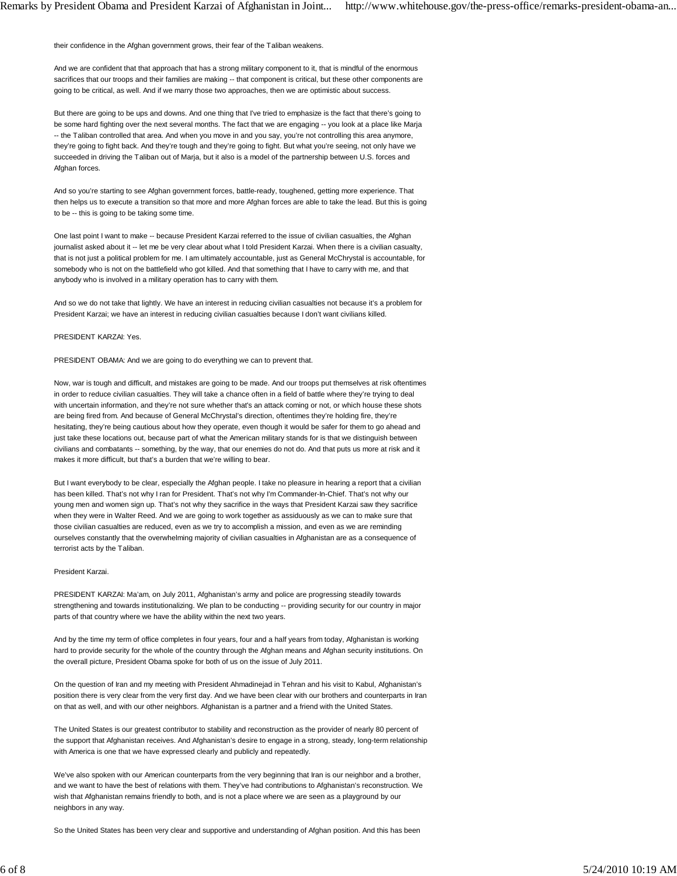their confidence in the Afghan government grows, their fear of the Taliban weakens.

And we are confident that that approach that has a strong military component to it, that is mindful of the enormous sacrifices that our troops and their families are making -- that component is critical, but these other components are going to be critical, as well. And if we marry those two approaches, then we are optimistic about success.

But there are going to be ups and downs. And one thing that I've tried to emphasize is the fact that there's going to be some hard fighting over the next several months. The fact that we are engaging -- you look at a place like Marja -- the Taliban controlled that area. And when you move in and you say, you're not controlling this area anymore, they're going to fight back. And they're tough and they're going to fight. But what you're seeing, not only have we succeeded in driving the Taliban out of Marja, but it also is a model of the partnership between U.S. forces and Afghan forces.

And so you're starting to see Afghan government forces, battle-ready, toughened, getting more experience. That then helps us to execute a transition so that more and more Afghan forces are able to take the lead. But this is going to be -- this is going to be taking some time.

One last point I want to make -- because President Karzai referred to the issue of civilian casualties, the Afghan journalist asked about it -- let me be very clear about what I told President Karzai. When there is a civilian casualty, that is not just a political problem for me. I am ultimately accountable, just as General McChrystal is accountable, for somebody who is not on the battlefield who got killed. And that something that I have to carry with me, and that anybody who is involved in a military operation has to carry with them.

And so we do not take that lightly. We have an interest in reducing civilian casualties not because it's a problem for President Karzai; we have an interest in reducing civilian casualties because I don't want civilians killed.

# PRESIDENT KARZAI: Yes.

PRESIDENT OBAMA: And we are going to do everything we can to prevent that.

Now, war is tough and difficult, and mistakes are going to be made. And our troops put themselves at risk oftentimes in order to reduce civilian casualties. They will take a chance often in a field of battle where they're trying to deal with uncertain information, and they're not sure whether that's an attack coming or not, or which house these shots are being fired from. And because of General McChrystal's direction, oftentimes they're holding fire, they're hesitating, they're being cautious about how they operate, even though it would be safer for them to go ahead and just take these locations out, because part of what the American military stands for is that we distinguish between civilians and combatants -- something, by the way, that our enemies do not do. And that puts us more at risk and it makes it more difficult, but that's a burden that we're willing to bear.

But I want everybody to be clear, especially the Afghan people. I take no pleasure in hearing a report that a civilian has been killed. That's not why I ran for President. That's not why I'm Commander-In-Chief. That's not why our young men and women sign up. That's not why they sacrifice in the ways that President Karzai saw they sacrifice when they were in Walter Reed. And we are going to work together as assiduously as we can to make sure that those civilian casualties are reduced, even as we try to accomplish a mission, and even as we are reminding ourselves constantly that the overwhelming majority of civilian casualties in Afghanistan are as a consequence of terrorist acts by the Taliban.

### President Karzai.

PRESIDENT KARZAI: Ma'am, on July 2011, Afghanistan's army and police are progressing steadily towards strenathenina and towards institutionalizing. We plan to be conducting -- providing security for our country in major parts of that country where we have the ability within the next two years.

And by the time my term of office completes in four years, four and a half years from today, Afghanistan is working hard to provide security for the whole of the country through the Afghan means and Afghan security institutions. On the overall picture, President Obama spoke for both of us on the issue of July 2011.

On the question of Iran and my meeting with President Ahmadinejad in Tehran and his visit to Kabul, Afghanistan's position there is very clear from the very first day. And we have been clear with our brothers and counterparts in Iran on that as well, and with our other neighbors. Afghanistan is a partner and a friend with the United States.

The United States is our greatest contributor to stability and reconstruction as the provider of nearly 80 percent of the support that Afghanistan receives. And Afghanistan's desire to engage in a strong, steady, long-term relationship with America is one that we have expressed clearly and publicly and repeatedly.

We've also spoken with our American counterparts from the very beginning that Iran is our neighbor and a brother, and we want to have the best of relations with them. They've had contributions to Afghanistan's reconstruction. We wish that Afghanistan remains friendly to both, and is not a place where we are seen as a playground by our neighbors in any way.

So the United States has been very clear and supportive and understanding of Afghan position. And this has been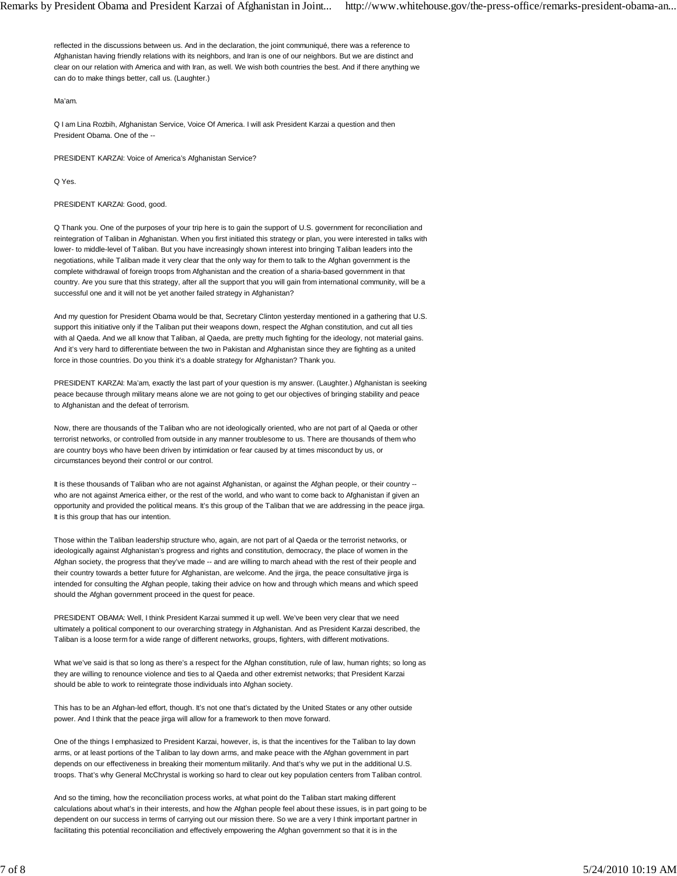reflected in the discussions between us. And in the declaration, the joint communiqué, there was a reference to Afghanistan having friendly relations with its neighbors, and Iran is one of our neighbors. But we are distinct and clear on our relation with America and with Iran, as well. We wish both countries the best. And if there anything we can do to make things better, call us. (Laughter.)

Ma'am.

Q I am Lina Rozbih, Afghanistan Service, Voice Of America. I will ask President Karzai a question and then President Obama. One of the --

PRESIDENT KARZAI: Voice of America's Afghanistan Service?

Q Yes.

PRESIDENT KARZAI: Good, good.

Q Thank you. One of the purposes of your trip here is to gain the support of U.S. government for reconciliation and reintegration of Taliban in Afghanistan. When you first initiated this strategy or plan, you were interested in talks with lower- to middle-level of Taliban. But you have increasingly shown interest into bringing Taliban leaders into the negotiations, while Taliban made it very clear that the only way for them to talk to the Afghan government is the complete withdrawal of foreign troops from Afghanistan and the creation of a sharia-based government in that country. Are you sure that this strategy, after all the support that you will gain from international community, will be a successful one and it will not be yet another failed strategy in Afghanistan?

And my question for President Obama would be that, Secretary Clinton yesterday mentioned in a gathering that U.S. support this initiative only if the Taliban put their weapons down, respect the Afghan constitution, and cut all ties with al Qaeda. And we all know that Taliban, al Qaeda, are pretty much fighting for the ideology, not material gains. And it's very hard to differentiate between the two in Pakistan and Afghanistan since they are fighting as a united force in those countries. Do you think it's a doable strategy for Afghanistan? Thank you.

PRESIDENT KARZAI: Ma'am, exactly the last part of your question is my answer. (Laughter.) Afghanistan is seeking peace because through military means alone we are not going to get our objectives of bringing stability and peace to Afghanistan and the defeat of terrorism.

Now, there are thousands of the Taliban who are not ideologically oriented, who are not part of al Qaeda or other terrorist networks, or controlled from outside in any manner troublesome to us. There are thousands of them who are country boys who have been driven by intimidation or fear caused by at times misconduct by us, or circumstances beyond their control or our control.

It is these thousands of Taliban who are not against Afghanistan, or against the Afghan people, or their country -who are not against America either, or the rest of the world, and who want to come back to Afghanistan if given an opportunity and provided the political means. It's this group of the Taliban that we are addressing in the peace jirga. It is this group that has our intention.

Those within the Taliban leadership structure who, again, are not part of al Qaeda or the terrorist networks, or ideologically against Afghanistan's progress and rights and constitution, democracy, the place of women in the Afghan society, the progress that they've made -- and are willing to march ahead with the rest of their people and their country towards a better future for Afghanistan, are welcome. And the jirga, the peace consultative jirga is intended for consulting the Afghan people, taking their advice on how and through which means and which speed should the Afghan government proceed in the quest for peace.

PRESIDENT OBAMA: Well, I think President Karzai summed it up well. We've been very clear that we need ultimately a political component to our overarching strategy in Afghanistan. And as President Karzai described, the Taliban is a loose term for a wide range of different networks, groups, fighters, with different motivations.

What we've said is that so long as there's a respect for the Afghan constitution, rule of law, human rights; so long as they are willing to renounce violence and ties to al Qaeda and other extremist networks; that President Karzai should be able to work to reintegrate those individuals into Afghan society.

This has to be an Afghan-led effort, though. It's not one that's dictated by the United States or any other outside power. And I think that the peace jirga will allow for a framework to then move forward.

One of the things I emphasized to President Karzai, however, is, is that the incentives for the Taliban to lay down arms, or at least portions of the Taliban to lay down arms, and make peace with the Afghan government in part depends on our effectiveness in breaking their momentum militarily. And that's why we put in the additional U.S. troops. That's why General McChrystal is working so hard to clear out key population centers from Taliban control.

And so the timing, how the reconciliation process works, at what point do the Taliban start making different calculations about what's in their interests, and how the Afghan people feel about these issues, is in part going to be dependent on our success in terms of carrying out our mission there. So we are a very I think important partner in facilitating this potential reconciliation and effectively empowering the Afghan government so that it is in the